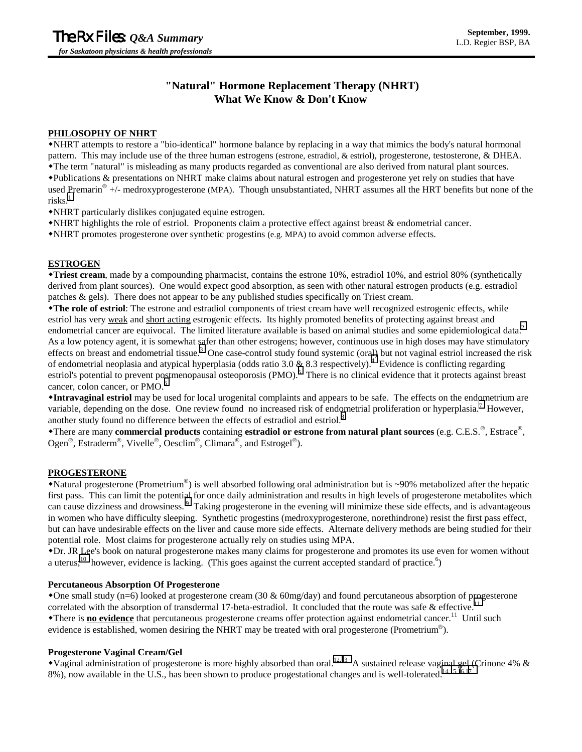# **"Natural" Hormone Replacement Therapy (NHRT) What We Know & Don't Know**

### **PHILOSOPHY OF NHRT**

NHRT attempts to restore a "bio-identical" hormone balance by replacing in a way that mimics the body's natural hormonal pattern. This may include use of the three human estrogens (estrone, estradiol, & estriol), progesterone, testosterone, & DHEA. The term "natural" is misleading as many products regarded as conventional are also derived from natural plant sources. Publications & presentations on NHRT make claims about natural estrogen and progesterone yet rely on studies that have used Premarin  $^{\circ}$  +/- medroxyprogesterone (MPA). Though unsubstantiated, NHRT assumes all the HRT benefits but none of the  $risks<sup>1</sup>$  $risks<sup>1</sup>$  $risks<sup>1</sup>$ 

NHRT particularly dislikes conjugated equine estrogen.

- NHRT highlights the role of estriol. Proponents claim a protective effect against breast & endometrial cancer.
- NHRT promotes progesterone over synthetic progestins (e.g. MPA) to avoid common adverse effects.

### **ESTROGEN**

**Triest cream**, made by a compounding pharmacist, contains the estrone 10%, estradiol 10%, and estriol 80% (synthetically derived from plant sources). One would expect good absorption, as seen with other natural estrogen products (e.g. estradiol patches & gels). There does not appear to be any published studies specifically on Triest cream.

**The role of estriol**: The estrone and estradiol components of triest cream have well recognized estrogenic effects, while estriol has very weak and short acting estrogenic effects. Its highly promoted benefits of protecting against breast and endometrial cancer are equivocal. The limited literature available is based on animal studies and some epidemiological data.<sup>2</sup> As a low potency agent, it is somewhat safer than other estrogens; however, continuous use in high doses may have stimulatory effects on breast and endometrial tissue.<sup>3</sup> One case-control study found systemic (or[al\)](#page-1-0) but not vaginal estriol increased the risk of endometrial neoplasia and atypical hyperplasia (odds ratio 3.0 & 8.3 respectively).<sup>4</sup> Evidence is conflicting regarding estriol's potential to prevent postmenopausal osteoporosis (PMO).<sup>[5](#page-1-0)</sup> There is no clinical evidence that it protects against breast cancer, colon cancer, or PMO.<sup>[6](#page-1-0)</sup>

**Intravaginal estriol** may be used for local urogenital complaints and appears to be safe. The effects on the endometrium are variable, depending on the dose. One review found no increased risk of endometrial proliferation or hyperplasia.<sup>7</sup> However, another study found no difference between the effects of estradiol and estriol.<sup>[8](#page-1-0)</sup>

\*There are many **commercial products** containing **estradiol or estrone from natural plant sources** (e.g. C.E.S.®, Estrace®, Ogen<sup>®</sup>, Estraderm<sup>®</sup>, Vivelle<sup>®</sup>, Oesclim<sup>®</sup>, Climara<sup>®</sup>, and Estrogel<sup>®</sup>).

### **PROGESTERONE**

• Natural progesterone (Prometrium<sup>®</sup>) is well absorbed following oral administration but is ~90% metabolized after the hepatic first pass. This can limit the potential for once daily administration and results in high levels of progesterone metabolites which can cause dizziness and drowsiness.<sup>9</sup> Taking progesterone in the evening will minimize these side effects, and is advantageous in women who have difficulty sleeping. Synthetic progestins (medroxyprogesterone, norethindrone) resist the first pass effect, but can have undesirable effects on the liver and cause more side effects. Alternate delivery methods are being studied for their potential role. Most claims for progesterone actually rely on studies using MPA.

Dr. JR Lee's book on natural progesterone makes many claims for progesterone and promotes its use even for women without a uterus;<sup>10</sup> however, evidence is lacking. (This goes against the current accepted standard of practice.<sup>6</sup>)

### **Percutaneous Absorption Of Progesterone**

• One small study (n=6) looked at progesterone cream (30  $\&$  60mg/day) and found percutaneous absorption of progesterone correlated with the absorption of transdermal 17-beta-estradiol. It concluded that the route was safe  $\&$  effective.<sup>[11](#page-1-0)</sup> There is **no evidence** that percutaneous progesterone creams offer protection against endometrial cancer.11 Until such evidence is established, women desiring the NHRT may be treated with oral progesterone (Prometrium<sup>®</sup>).

### **Progesterone Vaginal Cream/Gel**

 $\blacklozenge$  Vaginal administration of progesterone is more highly absorbed than oral.<sup>12,13</sup> A sustained release vaginal ge[l \(C](#page-1-0)rinone 4% & 8%), now available in the U.S., has been shown to produce progestational changes and is well-tolerated.<sup>14,15,16,17</sup>